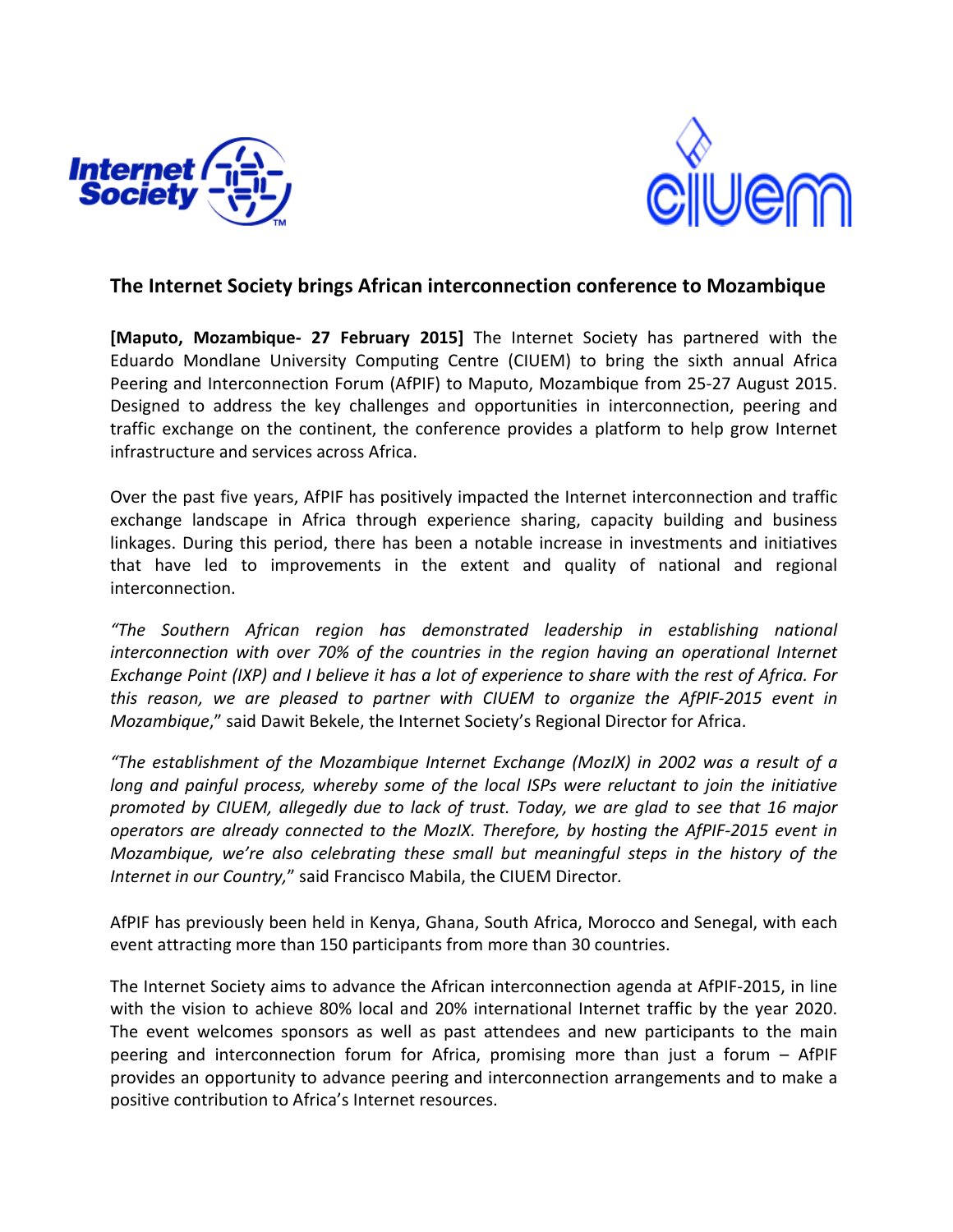



## **The Internet Society brings African interconnection conference to Mozambique**

**[Maputo, Mozambique- 27 February 2015]** The Internet Society has partnered with the Eduardo Mondlane University Computing Centre (CIUEM) to bring the sixth annual Africa Peering and Interconnection Forum (AfPIF) to Maputo, Mozambique from 25-27 August 2015. Designed to address the key challenges and opportunities in interconnection, peering and traffic exchange on the continent, the conference provides a platform to help grow Internet infrastructure and services across Africa.

Over the past five years, AfPIF has positively impacted the Internet interconnection and traffic exchange landscape in Africa through experience sharing, capacity building and business linkages. During this period, there has been a notable increase in investments and initiatives that have led to improvements in the extent and quality of national and regional interconnection.

*"The Southern African region has demonstrated leadership in establishing national* interconnection with over 70% of the countries in the region having an operational Internet *Exchange Point (IXP) and I believe it has a lot of experience to share with the rest of Africa. For this reason, we are pleased to partner with CIUEM to organize the AfPIF-2015 event in Mozambique*," said Dawit Bekele, the Internet Society's Regional Director for Africa.

*"The establishment of the Mozambique Internet Exchange (MozIX) in 2002 was a result of a long and painful process, whereby some of the local ISPs were reluctant to join the initiative promoted by CIUEM, allegedly due to lack of trust. Today, we are glad to see that 16 major operators are already connected to the MozIX. Therefore, by hosting the AfPIF-2015 event in Mozambique, we're also celebrating these small but meaningful steps in the history of the Internet in our Country,"* said Francisco Mabila, the CIUEM Director.

AfPIF has previously been held in Kenya, Ghana, South Africa, Morocco and Senegal, with each event attracting more than 150 participants from more than 30 countries.

The Internet Society aims to advance the African interconnection agenda at AfPIF-2015, in line with the vision to achieve 80% local and 20% international Internet traffic by the year 2020. The event welcomes sponsors as well as past attendees and new participants to the main peering and interconnection forum for Africa, promising more than just a forum  $-$  AfPIF provides an opportunity to advance peering and interconnection arrangements and to make a positive contribution to Africa's Internet resources.